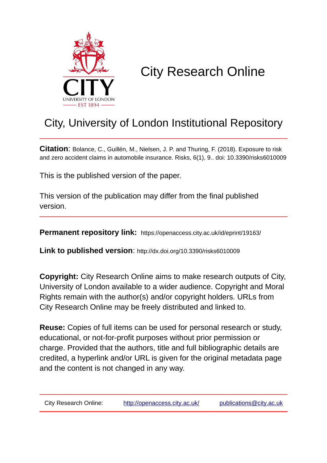

# City Research Online

# City, University of London Institutional Repository

**Citation**: Bolance, C., Guillén, M., Nielsen, J. P. and Thuring, F. (2018). Exposure to risk and zero accident claims in automobile insurance. Risks, 6(1), 9.. doi: 10.3390/risks6010009

This is the published version of the paper.

This version of the publication may differ from the final published version.

**Permanent repository link:** https://openaccess.city.ac.uk/id/eprint/19163/

**Link to published version**: http://dx.doi.org/10.3390/risks6010009

**Copyright:** City Research Online aims to make research outputs of City, University of London available to a wider audience. Copyright and Moral Rights remain with the author(s) and/or copyright holders. URLs from City Research Online may be freely distributed and linked to.

**Reuse:** Copies of full items can be used for personal research or study, educational, or not-for-profit purposes without prior permission or charge. Provided that the authors, title and full bibliographic details are credited, a hyperlink and/or URL is given for the original metadata page and the content is not changed in any way.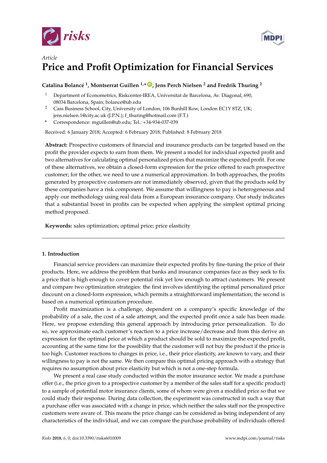

*Article*



# **Price and Profit Optimization for Financial Services**

# **Catalina Bolancé 1 , Montserrat Guillen 1,\* [ID](https://orcid.org/0000-0002-2644-6268) , Jens Perch Nielsen <sup>2</sup> and Fredrik Thuring <sup>2</sup>**

- <sup>1</sup> Department of Econometrics, Riskcenter-IREA, Universitat de Barcelona, Av. Diagonal, 690, 08034 Barcelona, Spain; bolance@ub.edu
- <sup>2</sup> Cass Business School, City, University of London, 106 Bunhill Row, London EC1Y 8TZ, UK; jens.nielsen.1@city.ac.uk (J.P.N.); f\_thuring@hotmail.com (F.T.)
- **\*** Correspondence: mguillen@ub.edu; Tel.: +34-934-037-039

Received: 6 January 2018; Accepted: 6 February 2018; Published: 8 February 2018

**Abstract:** Prospective customers of financial and insurance products can be targeted based on the profit the provider expects to earn from them. We present a model for individual expected profit and two alternatives for calculating optimal personalized prices that maximize the expected profit. For one of these alternatives, we obtain a closed-form expression for the price offered to each prospective customer; for the other, we need to use a numerical approximation. In both approaches, the profits generated by prospective customers are not immediately observed, given that the products sold by these companies have a risk component. We assume that willingness to pay is heterogeneous and apply our methodology using real data from a European insurance company. Our study indicates that a substantial boost in profits can be expected when applying the simplest optimal pricing method proposed.

**Keywords:** sales optimization; optimal price; price elasticity

#### **1. Introduction**

Financial service providers can maximize their expected profits by fine-tuning the price of their products. Here, we address the problem that banks and insurance companies face as they seek to fix a price that is high enough to cover potential risk yet low enough to attract customers. We present and compare two optimization strategies: the first involves identifying the optimal personalized price discount on a closed-form expression, which permits a straightforward implementation; the second is based on a numerical optimization procedure.

Profit maximization is a challenge, dependent on a company's specific knowledge of the probability of a sale, the cost of a sale attempt, and the expected profit once a sale has been made. Here, we propose extending this general approach by introducing price personalization. To do so, we approximate each customer's reaction to a price increase/decrease and from this derive an expression for the optimal price at which a product should be sold to maximize the expected profit, accounting at the same time for the possibility that the customer will not buy the product if the price is too high. Customer reactions to changes in price, i.e., their price elasticity, are known to vary, and their willingness to pay is not the same. We then compare this optimal pricing approach with a strategy that requires no assumption about price elasticity but which is not a one-step formula.

We present a real case study conducted within the motor insurance sector. We made a purchase offer (i.e., the price given to a prospective customer by a member of the sales staff for a specific product) to a sample of potential motor insurance clients, some of whom were given a modified price so that we could study their response. During data collection, the experiment was constructed in such a way that a purchase offer was associated with a change in price, which neither the sales staff nor the prospective customers were aware of. This means the price change can be considered as being independent of any characteristics of the individual, and we can compare the purchase probability of individuals offered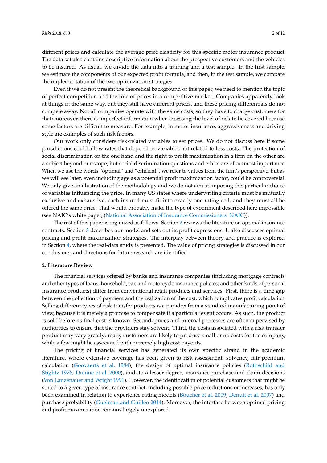different prices and calculate the average price elasticity for this specific motor insurance product. The data set also contains descriptive information about the prospective customers and the vehicles to be insured. As usual, we divide the data into a training and a test sample. In the first sample, we estimate the components of our expected profit formula, and then, in the test sample, we compare the implementation of the two optimization strategies.

Even if we do not present the theoretical background of this paper, we need to mention the topic of perfect competition and the role of prices in a competitive market. Companies apparently look at things in the same way, but they still have different prices, and these pricing differentials do not compete away. Not all companies operate with the same costs, so they have to charge customers for that; moreover, there is imperfect information when assessing the level of risk to be covered because some factors are difficult to measure. For example, in motor insurance, aggressiveness and driving style are examples of such risk factors.

Our work only considers risk-related variables to set prices. We do not discuss here if some jurisdictions could allow rates that depend on variables not related to loss costs. The protection of social discrimination on the one hand and the right to profit maximization in a firm on the other are a subject beyond our scope, but social discrimination questions and ethics are of outmost importance. When we use the words "optimal" and "efficient", we refer to values from the firm's perspective, but as we will see later, even including age as a potential profit maximization factor, could be controversial. We only give an illustration of the methodology and we do not aim at imposing this particular choice of variables influencing the price. In many US states where underwriting criteria must be mutually exclusive and exhaustive, each insured must fit into exactly one rating cell, and they must all be offered the same price. That would probably make the type of experiment described here impossible (see NAIC's white paper, [\(National Association of Insurance Commissioners](#page-12-0) [NAIC\)](#page-12-0)).

The rest of this paper is organized as follows. Section [2](#page-2-0) reviews the literature on optimal insurance contracts. Section [3](#page-3-0) describes our model and sets out its profit expressions. It also discusses optimal pricing and profit maximization strategies. The interplay between theory and practice is explored in Section [4,](#page-6-0) where the real-data study is presented. The value of pricing strategies is discussed in our conclusions, and directions for future research are identified.

#### <span id="page-2-0"></span>**2. Literature Review**

The financial services offered by banks and insurance companies (including mortgage contracts and other types of loans; household, car, and motorcycle insurance policies; and other kinds of personal insurance products) differ from conventional retail products and services. First, there is a time gap between the collection of payment and the realization of the cost, which complicates profit calculation. Selling different types of risk transfer products is a paradox from a standard manufacturing point of view, because it is merely a promise to compensate if a particular event occurs. As such, the product is sold before its final cost is known. Second, prices and internal processes are often supervised by authorities to ensure that the providers stay solvent. Third, the costs associated with a risk transfer product may vary greatly: many customers are likely to produce small or no costs for the company, while a few might be associated with extremely high cost payouts.

The pricing of financial services has generated its own specific strand in the academic literature, where extensive coverage has been given to risk assessment, solvency, fair premium calculation [\(Goovaerts et al.](#page-11-0) [1984\)](#page-11-0), the design of optimal insurance policies [\(Rothschild and](#page-12-1) [Stiglitz](#page-12-1) [1976;](#page-12-1) [Dionne et al.](#page-11-1) [2000\)](#page-11-1), and, to a lesser degree, insurance purchase and claim decisions [\(Von Lanzenauer and Wright](#page-12-2) [1991\)](#page-12-2). However, the identification of potential customers that might be suited to a given type of insurance contract, including possible price reductions or increases, has only been examined in relation to experience rating models [\(Boucher et al.](#page-11-2) [2009;](#page-11-2) [Denuit et al.](#page-11-3) [2007\)](#page-11-3) and purchase probability [\(Guelman and Guillen](#page-11-4) [2014\)](#page-11-4). Moreover, the interface between optimal pricing and profit maximization remains largely unexplored.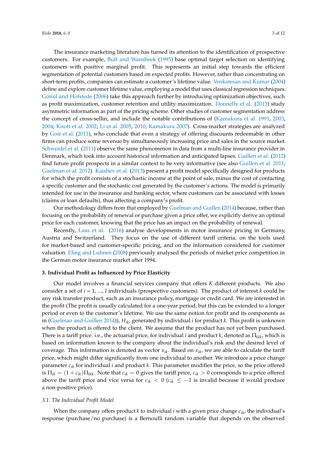The insurance marketing literature has turned its attention to the identification of prospective customers. For example, [Bult and Wansbeek](#page-11-5) [\(1995\)](#page-11-5) base optimal target selection on identifying customers with positive marginal profit. This represents an initial step towards the efficient segmentation of potential customers based on expected profits. However, rather than concentrating on short-term profits, companies can estimate a customer's lifetime value. [Venkatesan and Kumar](#page-12-3) [\(2004\)](#page-12-3) define and explore customer lifetime value, employing a model that uses classical regression techniques. [Gönül and Hofstede](#page-11-6) [\(2006\)](#page-11-6) take this approach further by introducing optimization objectives, such as profit maximization, customer retention and utility maximization. [Donnelly et al.](#page-11-7) [\(2013\)](#page-11-7) study asymmetric information as part of the pricing scheme. Other studies of customer segmentation address the concept of cross-sellin, and include the notable contributions of [\(Kamakura et al.](#page-12-4) [1991,](#page-12-4) [2003,](#page-12-5) [2004;](#page-12-6) [Knott et al.](#page-12-7) [2002;](#page-12-7) [Li et al.](#page-12-8) [2005,](#page-12-8) [2010;](#page-12-9) [Kamakura](#page-11-8) [2007\)](#page-11-8). Cross-market strategies are analyzed by Goié [et al.](#page-11-9) [\(2011\)](#page-11-9), who conclude that even a strategy of offering discounts redeemable in other firms can produce some revenue by simultaneously increasing price and sales in the source market. [Schweidel et al.](#page-12-10) [\(2011\)](#page-12-10) observe the same phenomenon in data from a multi-line insurance provider in Denmark, which took into account historical information and anticipated lapses. [Guillen et al.](#page-11-10) [\(2012\)](#page-11-10) find future profit prospects in a similar context to be very informative (see also [Guillen et al.](#page-11-11) [2011;](#page-11-11) [Guelman et al.](#page-11-12) [2012\)](#page-11-12). [Kaishev et al.](#page-11-13) [\(2013\)](#page-11-13) present a profit model specifically designed for products for which the profit consists of a stochastic income at the point of sale, minus the cost of contacting a specific customer and the stochastic cost generated by the customer's actions. The model is primarily intended for use in the insurance and banking sector, where customers can be associated with losses (claims or loan defaults), thus affecting a company's profit.

Our methodology differs from that employed by [Guelman and Guillen](#page-11-4) [\(2014\)](#page-11-4) because, rather than focusing on the probability of renewal or purchase given a price offer, we explicitly derive an optimal price for each customer, knowing that the price has an impact on the probability of renewal.

Recently, [Laas et al.](#page-12-11) [\(2016\)](#page-12-11) analyse developments in motor insurance pricing in Germany, Austria and Switzerland. They focus on the use of different tariff criteria, on the tools used for market-based and customer-specific pricing, and on the information considered for customer valuation. [Eling and Luhnen](#page-11-14) [\(2008\)](#page-11-14) previously analysed the periods of market price competition in the German motor insurance market after 1994.

#### <span id="page-3-0"></span>**3. Individual Profit as Influenced by Price Elasticity**

Our model involves a financial services company that offers *K* different products. We also consider a set of *i =* 1, ..., *I* individuals (prospective customers). The product of interest *k* could be any risk transfer product, such as an insurance policy, mortgage or credit card. We are interested in the profit (The profit is usually calculated for a one-year period, but this can be extended to a longer period or even to the customer's lifetime. We use the same notion for profit and its components as in [\(Guelman and Guillen](#page-11-4) [2014\)](#page-11-4)), *Hik*, generated by individual *i* for product *k.* This profit is unknown when the product is offered to the client. We assume that the product has not yet been purchased. There is a tariff price. i.e., the actuarial price, for individual *i* and product *k*, denoted as  $\Pi_{0ik}$ , which is based on information known to the company about the individual's risk and the desired level of coverage. This information is denoted as vector  $x_{ik}$ . Based on  $x_{ik}$ , we are able to calculate the tariff price, which might differ significantly from one individual to another. We introduce a price change parameter *cik* for individual *i* and product *k*. This parameter modifies the price, so the price offered is  $\Pi_{ik} = (1 + c_{ik})\Pi_{0ik}$ . Note that  $c_{ik} = 0$  gives the tariff price,  $c_{ik} > 0$  corresponds to a price offered above the tariff price and vice versa for  $c_{ik} < 0$  ( $c_{ik} \le -1$  is invalid because it would produce a non-positive price).

#### *3.1. The Individual Profit Model*

When the company offers product *k* to individual *i* with a given price change *cik*, the individual's response (purchase/no purchase) is a Bernoulli random variable that depends on the observed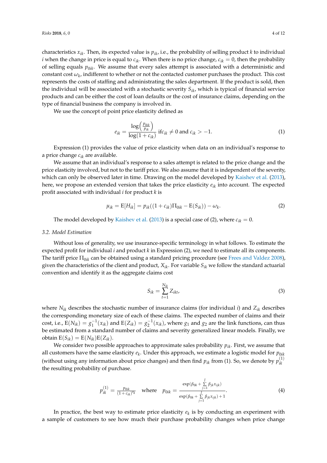characteristics  $x_{ik}$ . Then, its expected value is  $p_{ik}$ , i.e., the probability of selling product  $k$  to individual *i* when the change in price is equal to  $c_{ik}$ . When there is no price change,  $c_{ik} = 0$ , then the probability of selling equals  $p_{0ik}$ . We assume that every sales attempt is associated with a deterministic and  $\alpha$  constant cost  $\omega_k$ , indifferent to whether or not the contacted customer purchases the product. This cost represents the costs of staffing and administrating the sales department. If the product is sold, then the individual will be associated with a stochastic severity *Sik*, which is typical of financial service products and can be either the cost of loan defaults or the cost of insurance claims, depending on the type of financial business the company is involved in.

We use the concept of point price elasticity defined as

$$
e_{ik} = \frac{\log\left(\frac{p_{0ik}}{p_{ik}}\right)}{\log(1 + c_{ik})} \text{ if } c_{ik} \neq 0 \text{ and } c_{ik} > -1.
$$
 (1)

Expression (1) provides the value of price elasticity when data on an individual's response to a price change *cik* are available.

We assume that an individual's response to a sales attempt is related to the price change and the price elasticity involved, but not to the tariff price. We also assume that it is independent of the severity, which can only be observed later in time. Drawing on the model developed by [Kaishev et al.](#page-11-13) [\(2013\)](#page-11-13), here, we propose an extended version that takes the price elasticity *eik* into account. The expected profit associated with individual *i* for product *k* is

$$
\mu_{ik} = E[H_{ik}] = p_{ik}((1 + c_{ik})\Pi_{0ik} - E(S_{ik})) - \omega_k.
$$
 (2)

The model developed by [Kaishev et al.](#page-11-13) [\(2013\)](#page-11-13) is a special case of (2), where  $c_{ik} = 0$ .

#### *3.2. Model Estimation*

Without loss of generality, we use insurance-specific terminology in what follows. To estimate the expected profit for individual *i* and product *k* in Expression (2), we need to estimate all its components. The tariff price Π0*ik* can be obtained using a standard pricing procedure (see [Frees and Valdez](#page-11-15) [2008\)](#page-11-15), given the characteristics of the client and product, *Xik*. For variable *Sik* we follow the standard actuarial convention and identify it as the aggregate claims cost

$$
S_{ik} = \sum_{t=1}^{N_{ik}} Z_{ikt}, \tag{3}
$$

where *Nik* describes the stochastic number of insurance claims (for individual *i*) and *Zik* describes the corresponding monetary size of each of these claims. The expected number of claims and their cost, i.e.,  $E(N_{ik}) = g_1^{-1}(x_{ik})$  and  $E(Z_{ik}) = g_2^{-1}(x_{ik})$ , where  $g_1$  and  $g_2$  are the link functions, can thus be estimated from a standard number of claims and severity generalized linear models. Finally, we  $\text{obtain } E(S_{ik}) = E(N_{ik})E(Z_{ik}).$ 

We consider two possible approaches to approximate sales probability  $p_{ik}$ . First, we assume that all customers have the same elasticity  $e_k$ . Under this approach, we estimate a logistic model for  $p_{0ik}$ (without using any information about price changes) and then find  $p_{ik}$  from (1). So, we denote by  $p_{ik}^{(1)}$ *ik* the resulting probability of purchase.

$$
p_{ik}^{(1)} = \frac{p_{0ik}}{(1+c_{ik})^{e_k}} \quad \text{where} \quad p_{0ik} = \frac{\exp(\beta_{0k} + \sum\limits_{j=1}^{l} \beta_{jk} x_{ijk})}{\exp(\beta_{0k} + \sum\limits_{j=1}^{l} \beta_{jk} x_{ijk}) + 1}.
$$
 (4)

In practice, the best way to estimate price elasticity  $e_k$  is by conducting an experiment with a sample of customers to see how much their purchase probability changes when price change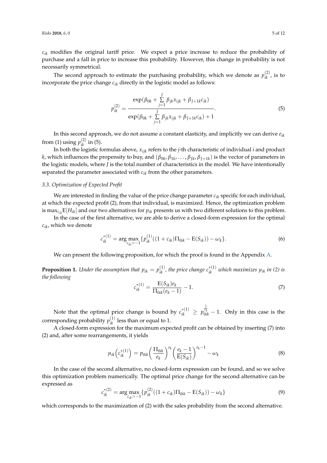$c_{ik}$  modifies the original tariff price. We expect a price increase to reduce the probability of purchase and a fall in price to increase this probability. However, this change in probability is not necessarily symmetrical.

The second approach to estimate the purchasing probability, which we denote as  $p_{ik}^{(2)}$ , is to incorporate the price change *cik* directly in the logistic model as follows:

$$
p_{ik}^{(2)} = \frac{\exp(\beta_{0k} + \sum_{j=1}^{J} \beta_{jk} x_{ijk} + \beta_{J+1k} c_{ik})}{\exp(\beta_{0k} + \sum_{j=1}^{J} \beta_{jk} x_{ijk} + \beta_{J+1k} c_{ik}) + 1}.
$$
 (5)

In this second approach, we do not assume a constant elasticity, and implicitly we can derive *eik* from (1) using  $p_{ik}^{(2)}$  in (5).

In both the logistic formulas above, *xijk* refers to the *j*-th characteristic of individual *i* and product *k*, which influences the propensity to buy, and  $(\beta_{0k}, \beta_{1k}, \ldots, \beta_{Jk}, \beta_{J+1k})$  is the vector of parameters in the logistic models, where *J* is the total number of characteristics in the model. We have intentionally separated the parameter associated with *cik* from the other parameters.

#### *3.3. Optimization of Expected Profit*

We are interested in finding the value of the price change parameter *cik* specific for each individual, at which the expected profit (2), from that individual, is maximized. Hence, the optimization problem is max<sub>*c<sub>ik</sub>*</sub>E[ $H_{ik}$ ] and our two alternatives for  $p_{ik}$  presents us with two different solutions to this problem.

In the case of the first alternative, we are able to derive a closed-form expression for the optimal *cik*, which we denote

$$
c_{ik}^{*(1)} = \arg \max_{c_{ik} > -1} \{ p_{ik}^{(1)}((1 + c_{ik})\Pi_{0ik} - \mathbb{E}(S_{ik})) - \omega_k \}.
$$
 (6)

We can present the following proposition, for which the proof is found in the Appendix [A.](#page-10-0)

**Proposition 1.** Under the assumption that  $p_{ik} = p_{ik}^{(1)}$ , the price change  $c_{ik}^{*(1)}$  which maximizes  $\mu_{ik}$  in (2) is *the following*

$$
c_{ik}^{*(1)} = \frac{E(S_{ik})e_k}{\Pi_{0ik}(e_k - 1)} - 1.
$$
\n(7)

Note that the optimal price change is bound by  $c_{ik}^{*(1)} \ge p_{0ik}^{\frac{1}{e_k}} - 1$ . Only in this case is the corresponding probability  $p_{ik}^{(1)}$  less than or equal to 1.

A closed-form expression for the maximum expected profit can be obtained by inserting (7) into (2) and, after some rearrangements, it yields

$$
\mu_{ik}\left(c_{ik}^{*(1)}\right) = p_{0ik}\left(\frac{\Pi_{0ik}}{e_k}\right)^{e_k}\left(\frac{e_k - 1}{E(S_{ik})}\right)^{e_k - 1} - \omega_k
$$
\n(8)

In the case of the second alternative, no closed-form expression can be found, and so we solve this optimization problem numerically. The optimal price change for the second alternative can be expressed as

$$
c_{ik}^{*(2)} = \arg \max_{c_{ik}>-1} \{ p_{ik}^{(2)}((1+c_{ik})\Pi_{0ik} - \mathbb{E}(S_{ik})) - \omega_k \}
$$
(9)

which corresponds to the maximization of (2) with the sales probability from the second alternative.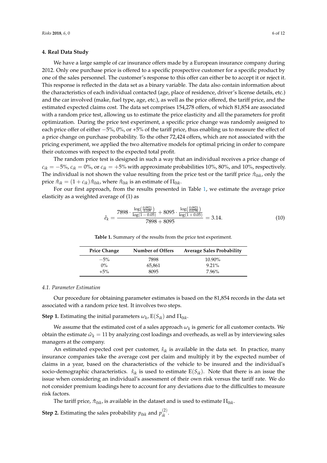#### <span id="page-6-0"></span>**4. Real Data Study**

We have a large sample of car insurance offers made by a European insurance company during 2012. Only one purchase price is offered to a specific prospective customer for a specific product by one of the sales personnel. The customer's response to this offer can either be to accept it or reject it. This response is reflected in the data set as a binary variable. The data also contain information about the characteristics of each individual contacted (age, place of residence, driver's license details, etc.) and the car involved (make, fuel type, age, etc.), as well as the price offered, the tariff price, and the estimated expected claims cost. The data set comprises 154,278 offers, of which 81,854 are associated with a random price test, allowing us to estimate the price elasticity and all the parameters for profit optimization. During the price test experiment, a specific price change was randomly assigned to each price offer of either −5%, 0%, or +5% of the tariff price, thus enabling us to measure the effect of a price change on purchase probability. To the other 72,424 offers, which are not associated with the pricing experiment, we applied the two alternative models for optimal pricing in order to compare their outcomes with respect to the expected total profit.

The random price test is designed in such a way that an individual receives a price change of  $c_{ik} = -5\%$ ,  $c_{ik} = 0\%$ , or  $c_{ik} = +5\%$  with approximate probabilities 10%, 80%, and 10%, respectively. The individual is not shown the value resulting from the price test or the tariff price  $\hat{\pi}_{0ik}$ , only the price  $\hat{\pi}_{ik} = (1 + c_{ik})\hat{\pi}_{0ik}$ , where  $\hat{\pi}_{0ik}$  is an estimate of  $\Pi_{0ik}$ .

For our first approach, from the results presented in Table [1,](#page-6-1) we estimate the average price elasticity as a weighted average of (1) as

$$
\hat{e}_k = \frac{7898 \cdot \frac{\log(\frac{0.0921}{0.109})}{\log(1 - 0.05)} + 8095 \cdot \frac{\log(\frac{0.0921}{0.0796})}{\log(1 + 0.05)}}{7898 + 8095} = 3.14.
$$
\n(10)

<span id="page-6-1"></span>

| <b>Price Change</b> | <b>Number of Offers</b> | <b>Average Sales Probability</b> |
|---------------------|-------------------------|----------------------------------|
| $-5\%$              | 7898                    | $10.90\%$                        |
| $0\%$               | 65,861                  | $9.21\%$                         |
| $+5\%$              | 8095                    | $7.96\%$                         |

**Table 1.** Summary of the results from the price test experiment.

#### *4.1. Parameter Estimation*

Our procedure for obtaining parameter estimates is based on the 81,854 records in the data set associated with a random price test. It involves two steps.

**Step 1.** Estimating the initial parameters  $\omega_k$ ,  $E(S_{ik})$  and  $\Pi_{0ik}$ .

We assume that the estimated cost of a sales approach  $\omega_k$  is generic for all customer contacts. We obtain the estimate  $\hat{\omega}_k = 11$  by analyzing cost loadings and overheads, as well as by interviewing sales managers at the company.

An estimated expected cost per customer,  $\hat{s}_{ik}$  is available in the data set. In practice, many insurance companies take the average cost per claim and multiply it by the expected number of claims in a year, based on the characteristics of the vehicle to be insured and the individual's socio-demographic characteristics.  $\hat{s}_{ik}$  is used to estimate  $E(S_{ik})$ . Note that there is an issue the issue when considering an individual's assessment of their own risk versus the tariff rate. We do not consider premium loadings here to account for any deviations due to the difficulties to measure risk factors.

The tariff price,  $\hat{\pi}_{0ik}$ , is available in the dataset and is used to estimate  $\Pi_{0ik}$ .

**Step 2.** Estimating the sales probability  $p_{0ik}$  and  $p_{ik}^{(2)}$ .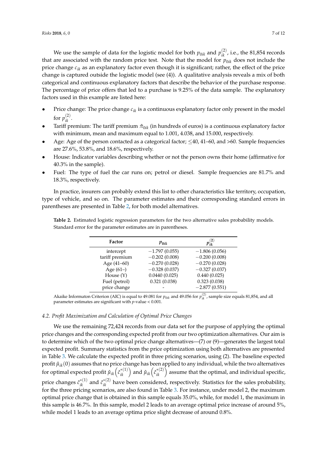We use the sample of data for the logistic model for both  $p_{0ik}$  and  $p_{ik}^{(2)}$ , i.e., the 81,854 records that are associated with the random price test. Note that the model for  $p_{0ik}$  does not include the price change  $c_{ik}$  as an explanatory factor even though it is significant; rather, the effect of the price change is captured outside the logistic model (see (4)). A qualitative analysis reveals a mix of both categorical and continuous explanatory factors that describe the behavior of the purchase response. The percentage of price offers that led to a purchase is 9.25% of the data sample. The explanatory factors used in this example are listed here:

- Price change: The price change *cik* is a continuous explanatory factor only present in the model for  $p_{ik}^{(2)}$ .
- Tariff premium: The tariff premium  $\hat{\pi}_{0ik}$  (in hundreds of euros) is a continuous explanatory factor with minimum, mean and maximum equal to 1.001, 4.038, and 15.000, respectively.
- Age: Age of the person contacted as a categorical factor;  $\leq 40$ , 41–60, and >60. Sample frequencies are 27.6%, 53.8%, and 18.6%, respectively.
- House: Indicator variables describing whether or not the person owns their home (affirmative for 40.3% in the sample).
- Fuel: The type of fuel the car runs on; petrol or diesel. Sample frequencies are 81.7% and 18.3%, respectively.

In practice, insurers can probably extend this list to other characteristics like territory, occupation, type of vehicle, and so on. The parameter estimates and their corresponding standard errors in parentheses are presented in Table [2,](#page-7-0) for both model alternatives.

<span id="page-7-0"></span>**Table 2.** Estimated logistic regression parameters for the two alternative sales probability models. Standard error for the parameter estimates are in parentheses.

| Factor         | $p_{0ik}$       | $p_{ik}^{(2)}$  |  |
|----------------|-----------------|-----------------|--|
| intercept      | $-1.797(0.055)$ | $-1.806(0.056)$ |  |
| tariff premium | $-0.202(0.008)$ | $-0.200(0.008)$ |  |
| Age (41-60)    | $-0.270(0.028)$ | $-0.270(0.028)$ |  |
| Age $(61-)$    | $-0.328(0.037)$ | $-0.327(0.037)$ |  |
| House $(Y)$    | 0.0440(0.025)   | 0.440(0.025)    |  |
| Fuel (petrol)  | 0.321(0.038)    | 0.323(0.038)    |  |
| price change   |                 | $-2.877(0.551)$ |  |

Akaike Informaton Criterion (AIC) is equal to 49.081 for  $p_{0ik}$  and 49.056 for  $p_{ik}^{(2)}$ , sample size equals 81,854, and all parameter estimates are significant with *p*-value < 0.001.

#### *4.2. Profit Maximization and Calculation of Optimal Price Changes*

We use the remaining 72,424 records from our data set for the purpose of applying the optimal price changes and the corresponding expected profit from our two optimization alternatives. Our aim is to determine which of the two optimal price change alternatives—(7) or (9)—generates the largest total expected profit. Summary statistics from the price optimization using both alternatives are presented in Table [3.](#page-8-0) We calculate the expected profit in three pricing scenarios, using (2). The baseline expected profit  $\hat{\mu}_{ik}(0)$  assumes that no price change has been applied to any individual, while the two alternatives for optimal expected profit  $\hat{\mu}_{ik}\binom{\hat{c}_{ik}^{*(1)}}{k}$  and  $\hat{\mu}_{ik}\binom{\hat{c}_{ik}^{*(2)}}{k}$  assume that the optimal, and individual specific, price changes  $\hat{c}_{ik}^{*(1)}$  and  $\hat{c}_{ik}^{*(2)}$  have been considered, respectively. Statistics for the sales probability, for the three pricing scenarios, are also found in Table [3.](#page-8-0) For instance, under model 2, the maximum optimal price change that is obtained in this sample equals 35.0%, while, for model 1, the maximum in this sample is 46.7%. In this sample, model 2 leads to an average optimal price increase of around 5%, while model 1 leads to an average optima price slight decrease of around 0.8%.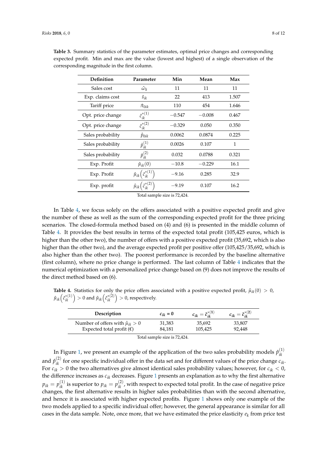| Definition        | Parameter                             | Min      | Mean     | Max   |
|-------------------|---------------------------------------|----------|----------|-------|
| Sales cost        | $\hat{\omega}_k$                      | 11       | 11       | 11    |
| Exp. claims cost  | $\hat{s}_{ik}$                        | 22       | 413      | 1.507 |
| Tariff price      | $\hat{\pi}_{0ik}$                     | 110      | 454      | 1.646 |
| Opt. price change | $\hat{c}_{ik}^{*(1)}$                 | $-0.547$ | $-0.008$ | 0.467 |
| Opt. price change | $\hat{c}_{ik}^{*(2)}$                 | $-0.329$ | 0.050    | 0.350 |
| Sales probability | $\hat{p}_{0ik}$                       | 0.0062   | 0.0874   | 0.225 |
| Sales probability | $\hat{p}^{(1)}_{ik}$                  | 0.0026   | 0.107    | 1     |
| Sales probability | $\hat{p}^{(2)}_{ik}$                  | 0.032    | 0.0788   | 0.321 |
| Exp. Profit       | $\hat{\mu}_{ik}(0)$                   | $-10.8$  | $-0.229$ | 16.1  |
| Exp. Profit       | $\hat{\mu}_{ik}(\hat{c}_{ik}^{*(1)})$ | $-9.16$  | 0.285    | 32.9  |
| Exp. profit       | $\sqrt{c_{ik}^{*(2)}}$                | $-9.19$  | 0.107    | 16.2  |

<span id="page-8-0"></span>**Table 3.** Summary statistics of the parameter estimates, optimal price changes and corresponding expected profit. Min and max are the value (lowest and highest) of a single observation of the corresponding magnitude in the first column.

Total sample size is 72,424.

In Table [4,](#page-8-1) we focus solely on the offers associated with a positive expected profit and give the number of these as well as the sum of the corresponding expected profit for the three pricing scenarios. The closed-formula method based on (4) and (6) is presented in the middle column of Table [4.](#page-8-1) It provides the best results in terms of the expected total profit (105,425 euros, which is higher than the other two), the number of offers with a positive expected profit (35,692, which is also higher than the other two), and the average expected profit per positive offer (105,425/35,692, which is also higher than the other two). The poorest performance is recorded by the baseline alternative (first column), where no price change is performed. The last column of Table [4](#page-8-1) indicates that the numerical optimization with a personalized price change based on (9) does not improve the results of the direct method based on (6).

<span id="page-8-1"></span>**Table 4.** Statistics for only the price offers associated with a positive expected profit,  $\hat{\mu}_{ik}(0) > 0$ ,  $\hat{\mu}_{ik}\Big(\hat{c}_{ik}^{*(1)}\Big)>0$  and  $\hat{\mu}_{ik}\Big(\hat{c}_{ik}^{*(2)}\Big)>0$ , respectively.

| Description                                | $c_{ik} = 0$ | $c_{ik} = \hat{c}_{ik}^{*(1)}$ | $c_{ik} = \hat{c}_{ik}^{*(2)}$ |
|--------------------------------------------|--------------|--------------------------------|--------------------------------|
| Number of offers with $\hat{\mu}_{ik} > 0$ | 31,383       | 35.692                         | 33,807                         |
| Expected total profit $(\epsilon)$         | 84.181       | 105,425                        | 92.448                         |

Total sample size is 72,424.

In Figure [1,](#page-9-0) we present an example of the application of the two sales probability models  $\hat{p}_{ik}^{(1)}$ *ik* and  $\hat{p}_{ik}^{(2)}$  for one specific individual offer in the data set and for different values of the price change  $c_{ik}$ . For  $c_{ik} > 0$  the two alternatives give almost identical sales probability values; however, for  $c_{ik} < 0$ , the difference increases as *cik* decreases. Figure [1](#page-9-0) presents an explanation as to why the first alternative  $p_{ik} = p_{ik}^{(1)}$  is superior to  $p_{ik} = p_{ik}^{(2)}$ , with respect to expected total profit. In the case of negative price changes, the first alternative results in higher sales probabilities than with the second alternative, and hence it is associated with higher expected profits. Figure [1](#page-9-0) shows only one example of the two models applied to a specific individual offer; however, the general appearance is similar for all cases in the data sample. Note, once more, that we have estimated the price elasticity *e<sup>k</sup>* from price test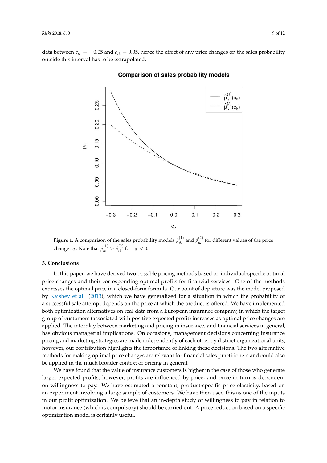<span id="page-9-0"></span>data between  $c_{ik} = -0.05$  and  $c_{ik} = 0.05$ , hence the effect of any price changes on the sales probability outside this interval has to be extrapolated. probability outside this interval has to be extrapolated.



### **Comparison of sales probability models**

**Figure 1.** A comparison of the sales probability models  $\hat{p}_{ik}^{(1)}$  and  $\hat{p}_{ik}^{(2)}$  for different values of the price change  $c_{ik}$ . Note that  $\hat{p}_{ik}^{(1)} > \hat{p}_{ik}^{(2)}$  for  $c_{ik} < 0$ .

## **5. Conclusions 5. Conclusions**

In this paper, we have derived two possible pricing methods based on individual-specific In this paper, we have derived two possible pricing methods based on individual-specific optimal price changes and their corresponding optimal profits for financial services. One of the methods expresses the optimal price in a closed-form formula. Our point of departure was the model proposed by [Kaishev et al.](#page-11-13) [\(2013\)](#page-11-13), which we have generalized for a situation in which the probability of a successful sale attempt depends on the price at which the product is offered. We have implemented both optimization alternatives on real data from a European insurance company, in which the target group of customers (associated with positive expected profit) increases as optimal price changes are applied. The interplay between marketing and pricing in insurance, and financial services in general, has obvious managerial implications. On occasions, management decisions concerning insurance pricing and marketing strategies are made independently of each other by distinct organizational units; however, our contribution highlights the importance of linking these decisions. The two alternative methods for making optimal price changes are relevant for financial sales practitioners and could also be applied in the much broader context of pricing in general.

We have found that the value of insurance customers is higher in the case of those who generate We have found that the value of insurance customers is higher in the case of those who generate larger expected profits; however, profits are influenced by price, and price in turn is dependent on willingness to pay. We have estimated a constant, product-specific price elasticity, based on an experiment involving a large sample of customers. We have then used this as one of the inputs in our profit optimization. We believe that an in-depth study of willingness to pay in relation to motor insurance (which is compulsory) should be carried out. A price reduction based on a specific optimization model is certainly useful. optimization model is certainly useful.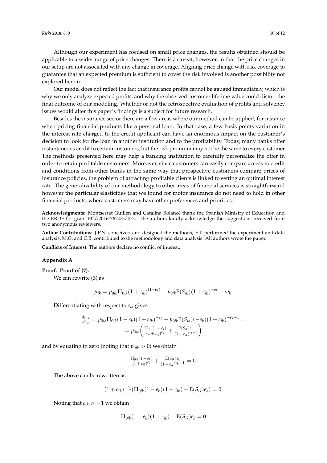Although our experiment has focused on small price changes, the results obtained should be applicable to a wider range of price changes. There is a caveat, however, in that the price changes in our setup are not associated with any change in coverage. Aligning price change with risk coverage to guarantee that an expected premium is sufficient to cover the risk involved is another possibility not explored herein.

Our model does not reflect the fact that insurance profits cannot be gauged immediately, which is why we only analyze expected profits, and why the observed customer lifetime value could distort the final outcome of our modeling. Whether or not the retrospective evaluation of profits and solvency issues would alter this paper's findings is a subject for future research.

Besides the insurance sector there are a few areas where our method can be applied, for instance when pricing financial products like a personal loan. In that case, a few basis points variation in the interest rate charged to the credit applicant can have an enormous impact on the customer's decision to look for the loan in another institution and to the profitability. Today, many banks offer instantaneous credit to certain customers, but the risk premium may not be the same to every customer. The methods presented here may help a banking institution to carefully personalize the offer in order to retain profitable customers. Moreover, since customers can easily compare access to credit and conditions from other banks in the same way that prospective customers compare prices of insurance policies, the problem of attracting profitable clients is linked to setting an optimal interest rate. The generalizability of our methodology to other areas of financial services is straightforward however the particular elasticities that we found for motor insurance do not need to hold in other financial products, where customers may have other preferences and priorities.

**Acknowledgments:** Montserrat Guillen and Catalina Bolancé thank the Spanish Ministry of Education and the ERDF for grant ECO2016-76203-C2-2. The authors kindly acknowledge the suggestions received from two anonymous reviewers.

**Author Contributions:** J.P.N. conceived and designed the methods; F.T. performed the experiment and data analysis; M.G. and C.B. contributed to the methodology and data analysis. All authors wrote the paper.

**Conflicts of Interest:** The authors declare no conflict of interest.

#### <span id="page-10-0"></span>**Appendix A**

**Proof. Proof of (7).**

We can rewrite (3) as

$$
\mu_{ik} = p_{0ik} \Pi_{0ik} (1 + c_{ik})^{(1 - e_k)} - p_{0ik} E(S_{ik}) (1 + c_{ik})^{-e_k} - \omega_k.
$$

Differentiating with respect to *cik* gives

$$
\frac{d\mu_{ik}}{dc_{ik}} = p_{0ik}\Pi_{0ik}(1 - e_k)(1 + c_{ik})^{-e_k} - p_{0ik}E(S_{ik})(-e_k)(1 + c_{ik})^{-e_k - 1} =
$$
  
= 
$$
p_{0ik}\left(\frac{\Pi_{0ik}(1 - e_k)}{(1 + c_{ik})^{e_k}} + \frac{E(S_{ik})e_k}{(1 + c_{ik})^{e_k + 1}}\right)
$$

and by equating to zero (noting that  $p_{0ik} > 0$ ) we obtain

$$
\frac{\Pi_{0ik}(1-e_k)}{(1+c_{ik})^{e_k}} + \frac{E(S_{ik})e_k}{(1+c_{ik})^{e_k+1}} = 0.
$$

The above can be rewritten as

$$
(1+c_{ik})^{-e_k}(\Pi_{0ik}(1-e_k)(1+c_{ik})+E(S_{ik})e_k)=0.
$$

Noting that  $c_{ik}$  >  $-1$  we obtain

$$
\Pi_{0ik}(1 - e_k)(1 + c_{ik}) + \mathcal{E}(S_{ik})e_k = 0
$$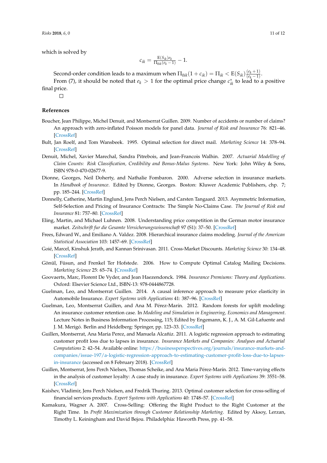which is solved by

$$
c_{ik} = \frac{E(S_{ik})e_k}{\Pi_{0ik}(e_k - 1)} - 1.
$$

Second-order condition leads to a maximum when  $\Pi_{0ik}(1+c_{ik})=\Pi_{ik} < \text{E}(S_{ik})\frac{(e_k+1)}{(e_k-1)}$  $\frac{(e_k-1)}{(e_k-1)}$ .

From (7), it should be noted that  $e_k > 1$  for the optimal price change  $c_{ik}^*$  to lead to a positive final price.

 $\Box$ 

## **References**

- <span id="page-11-2"></span>Boucher, Jean Philippe, Michel Denuit, and Montserrat Guillen. 2009. Number of accidents or number of claims? An approach with zero-inflated Poisson models for panel data. *Journal of Risk and Insurance* 76: 821–46. [\[CrossRef\]](http://dx.doi.org/10.1111/j.1539-6975.2009.01321.x)
- <span id="page-11-5"></span>Bult, Jan Roelf, and Tom Wansbeek. 1995. Optimal selection for direct mail. *Marketing Science* 14: 378–94. [\[CrossRef\]](http://dx.doi.org/10.1287/mksc.14.4.378)
- <span id="page-11-3"></span>Denuit, Michel, Xavier Marechal, Sandra Pitrebois, and Jean-Francois Walhin. 2007. *Actuarial Modelling of Claim Counts: Risk Classification, Credibility and Bonus-Malus Systems*. New York: John Wiley & Sons, ISBN 978-0-470-02677-9.
- <span id="page-11-1"></span>Dionne, Georges, Neil Doherty, and Nathalie Fombaron. 2000. Adverse selection in insurance markets. In *Handbook of Insurance*. Edited by Dionne, Georges. Boston: Kluwer Academic Publishers, chp. 7; pp. 185–244. [\[CrossRef\]](http://dx.doi.org/10.1007/978-1-4614-0155-1)
- <span id="page-11-7"></span>Donnelly, Catherine, Martin Englund, Jens Perch Nielsen, and Carsten Tangaard. 2013. Asymmetric Information, Self-Selection and Pricing of Insurance Contracts: The Simple No-Claims Case. *The Journal of Risk and Insurance* 81: 757–80. [\[CrossRef\]](http://dx.doi.org/10.1111/j.1539-6975.2013.01520.x)
- <span id="page-11-14"></span>Eling, Martin, and Michael Luhnen. 2008. Understanding price competition in the German motor insurance market. *Zeitschrift fur die Gesamte Versicherungswissenschaft* 97 (S1): 37–50. [\[CrossRef\]](http://dx.doi.org/10.1007/s12297-008-0027-5)
- <span id="page-11-15"></span>Frees, Edward W., and Emiliano A. Valdez. 2008. Hierarchical insurance claims modeling. *Journal of the American Statistical Association* 103: 1457–69. [\[CrossRef\]](http://dx.doi.org/10.1198/016214508000000823)
- <span id="page-11-9"></span>Goié, Marcel, Kinshuk Jerath, and Kannan Srinivasan. 2011. Cross-Market Discounts. *Marketing Science* 30: 134–48. [\[CrossRef\]](http://dx.doi.org/10.1287/mksc.1100.0603)
- <span id="page-11-6"></span>Gönül, Füsun, and Frenkel Ter Hofstede. 2006. How to Compute Optimal Catalog Mailing Decisions. *Marketing Science* 25: 65–74. [\[CrossRef\]](http://dx.doi.org/10.1287/mksc.1050.0136)
- <span id="page-11-0"></span>Goovaerts, Marc, Florent De Vyder, and Jean Haezendonck. 1984. *Insurance Premiums: Theory and Applications*. Oxford: Elsevier Science Ltd., ISBN-13: 978-0444867728.
- <span id="page-11-4"></span>Guelman, Leo, and Montserrat Guillen. 2014. A causal inference approach to measure price elasticity in Automobile Insurance. *Expert Systems with Applications* 41: 387–96. [\[CrossRef\]](http://dx.doi.org/10.1016/j.eswa.2013.07.059)
- <span id="page-11-12"></span>Guelman, Leo, Montserrat Guillen, and Ana M. Pérez-Marín. 2012. Random forests for uplift modeling: An insurance customer retention case. In *Modeling and Simulation in Engineering, Economics and Management*. Lecture Notes in Business Information Processing, 115; Edited by Engemann, K. J., A. M. Gil-Lafuente and J. M. Merigó. Berlin and Heidelberg: Springer, pp. 123–33. [\[CrossRef\]](http://dx.doi.org/10.1007/978-3-642-30433-0_13)
- <span id="page-11-11"></span>Guillen, Montserrat, Ana Maria Perez, and Manuela Alcañiz. 2011. A logistic regression approach to estimating customer profit loss due to lapses in insurance. *Insurance Markets and Companies: Analyses and Actuarial Computations* 2: 42–54. Available online: [https://businessperspectives.org/journals/insurance-markets-and](https://businessperspectives.org/journals/insurance-markets-and-companies/issue-197/a-logistic-regression-approach-to-estimating-customer-profit-loss-due-to-lapses-in-insurance)[companies/issue-197/a-logistic-regression-approach-to-estimating-customer-profit-loss-due-to-lapses](https://businessperspectives.org/journals/insurance-markets-and-companies/issue-197/a-logistic-regression-approach-to-estimating-customer-profit-loss-due-to-lapses-in-insurance)[in-insurance](https://businessperspectives.org/journals/insurance-markets-and-companies/issue-197/a-logistic-regression-approach-to-estimating-customer-profit-loss-due-to-lapses-in-insurance) (accessed on 8 February 2018). [\[CrossRef\]](http://dx.doi.org/10.2139/ssrn.1942278)
- <span id="page-11-10"></span>Guillen, Montserrat, Jens Perch Nielsen, Thomas Scheike, and Ana Maria Pérez-Marín. 2012. Time-varying effects in the analysis of customer loyalty: A case study in insurance. *Expert Systems with Applications* 39: 3551–58. [\[CrossRef\]](http://dx.doi.org/10.1016/j.eswa.2011.09.045)
- <span id="page-11-13"></span>Kaishev, Vladimir, Jens Perch Nielsen, and Fredrik Thuring. 2013. Optimal customer selection for cross-selling of financial services products. *Expert Systems with Applications* 40: 1748–57. [\[CrossRef\]](http://dx.doi.org/10.1016/j.eswa.2012.09.026)
- <span id="page-11-8"></span>Kamakura, Wagner A. 2007. Cross-Selling: Offering the Right Product to the Right Customer at the Right Time. In *Profit Maximization through Customer Relationship Marketing*. Edited by Aksoy, Lerzan, Timothy L. Keiningham and David Bejou. Philadelphia: Haworth Press, pp. 41–58.